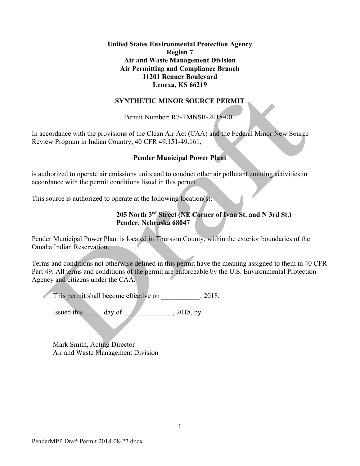#### **United States Environmental Protection Agency Region 7 Air and Waste Management Division Air Permitting and Compliance Branch 11201 Renner Boulevard Lenexa, KS 66219**

#### **SYNTHETIC MINOR SOURCE PERMIT**

Permit Number: R7-TMNSR-2018-001

In accordance with the provisions of the Clean Air Act (CAA) and the Federal Minor New Source Review Program in Indian Country, 40 CFR 49.151-49.161,

#### **Pender Municipal Power Plant**

is authorized to operate air emissions units and to conduct other air pollutant emitting activities in accordance with the permit conditions listed in this permit.

This source is authorized to operate at the following location(s):

## **205 North 3rd Street (NE Corner of Ivan St. and N 3rd St.) Pender, Nebraska 68047**

Pender Municipal Power Plant is located in Thurston County, within the exterior boundaries of the Omaha Indian Reservation.

Terms and conditions not otherwise defined in this permit have the meaning assigned to them in 40 CFR Part 49. All terms and conditions of the permit are enforceable by the U.S. Environmental Protection Agency and citizens under the CAA.

This permit shall become effective on  $\qquad \qquad$ , 2018.

Issued this  $\qquad \qquad$  day of  $\qquad \qquad$  . 2018, by

 $\mathcal{L}=\mathcal{L}=\mathcal{L}=\mathcal{L}=\mathcal{L}=\mathcal{L}=\mathcal{L}=\mathcal{L}=\mathcal{L}=\mathcal{L}=\mathcal{L}=\mathcal{L}=\mathcal{L}=\mathcal{L}=\mathcal{L}=\mathcal{L}=\mathcal{L}=\mathcal{L}=\mathcal{L}=\mathcal{L}=\mathcal{L}=\mathcal{L}=\mathcal{L}=\mathcal{L}=\mathcal{L}=\mathcal{L}=\mathcal{L}=\mathcal{L}=\mathcal{L}=\mathcal{L}=\mathcal{L}=\mathcal{L}=\mathcal{L}=\mathcal{L}=\mathcal{L}=\mathcal{L}=\mathcal{$ 

Mark Smith, Acting Director Air and Waste Management Division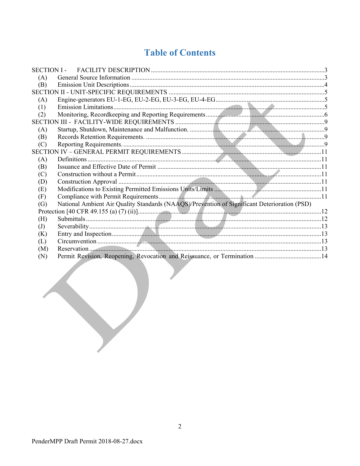# **Table of Contents**

| <b>SECTION I -</b> |                                                                                              |  |
|--------------------|----------------------------------------------------------------------------------------------|--|
| (A)                |                                                                                              |  |
| (B)                |                                                                                              |  |
|                    |                                                                                              |  |
| (A)                |                                                                                              |  |
| (1)                |                                                                                              |  |
| (2)                |                                                                                              |  |
|                    |                                                                                              |  |
| (A)                |                                                                                              |  |
| (B)                |                                                                                              |  |
| (C)                |                                                                                              |  |
|                    |                                                                                              |  |
| (A)                |                                                                                              |  |
| (B)                |                                                                                              |  |
| (C)                |                                                                                              |  |
| (D)                |                                                                                              |  |
| (E)                |                                                                                              |  |
| (F)                |                                                                                              |  |
| (G)                | National Ambient Air Quality Standards (NAAQS)/Prevention of Significant Deterioration (PSD) |  |
|                    |                                                                                              |  |
| (H)                |                                                                                              |  |
| (J)                |                                                                                              |  |
| (K)                |                                                                                              |  |
| (L)                |                                                                                              |  |
| (M)                |                                                                                              |  |
| (N)                |                                                                                              |  |
|                    |                                                                                              |  |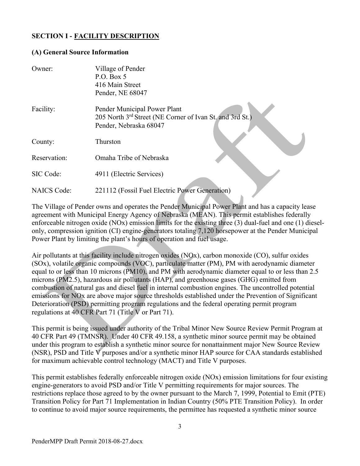# **SECTION I - FACILITY DESCRIPTION**

#### **(A) General Source Information**

| Owner:             | Village of Pender<br>P.O. Box 5<br>416 Main Street<br>Pender, NE 68047                                             |
|--------------------|--------------------------------------------------------------------------------------------------------------------|
| Facility:          | Pender Municipal Power Plant<br>205 North 3rd Street (NE Corner of Ivan St. and 3rd St.)<br>Pender, Nebraska 68047 |
| County:            | Thurston                                                                                                           |
| Reservation:       | Omaha Tribe of Nebraska                                                                                            |
| SIC Code:          | 4911 (Electric Services)                                                                                           |
| <b>NAICS</b> Code: | 221112 (Fossil Fuel Electric Power Generation)                                                                     |

The Village of Pender owns and operates the Pender Municipal Power Plant and has a capacity lease agreement with Municipal Energy Agency of Nebraska (MEAN). This permit establishes federally enforceable nitrogen oxide (NOx) emission limits for the existing three (3) dual-fuel and one (1) dieselonly, compression ignition (CI) engine-generators totaling 7,120 horsepower at the Pender Municipal Power Plant by limiting the plant's hours of operation and fuel usage.

Air pollutants at this facility include nitrogen oxides (NOx), carbon monoxide (CO), sulfur oxides (SOx), volatile organic compounds (VOC), particulate matter (PM), PM with aerodynamic diameter equal to or less than 10 microns (PM10), and PM with aerodynamic diameter equal to or less than 2.5 microns (PM2.5), hazardous air pollutants (HAP), and greenhouse gases (GHG) emitted from combustion of natural gas and diesel fuel in internal combustion engines. The uncontrolled potential emissions for NOx are above major source thresholds established under the Prevention of Significant Deterioration (PSD) permitting program regulations and the federal operating permit program regulations at 40 CFR Part 71 (Title V or Part 71).

This permit is being issued under authority of the Tribal Minor New Source Review Permit Program at 40 CFR Part 49 (TMNSR). Under 40 CFR 49.158, a synthetic minor source permit may be obtained under this program to establish a synthetic minor source for nonattainment major New Source Review (NSR), PSD and Title V purposes and/or a synthetic minor HAP source for CAA standards established for maximum achievable control technology (MACT) and Title V purposes.

This permit establishes federally enforceable nitrogen oxide (NOx) emission limitations for four existing engine-generators to avoid PSD and/or Title V permitting requirements for major sources. The restrictions replace those agreed to by the owner pursuant to the March 7, 1999, Potential to Emit (PTE) Transition Policy for Part 71 Implementation in Indian Country (50% PTE Transition Policy). In order to continue to avoid major source requirements, the permittee has requested a synthetic minor source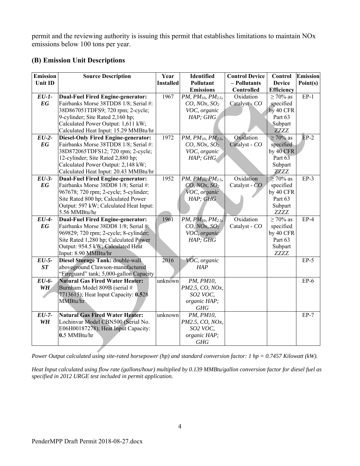permit and the reviewing authority is issuing this permit that establishes limitations to maintain NOx emissions below 100 tons per year.

## **(B) Emission Unit Descriptions**

| <b>Emission</b><br><b>Source Description</b><br>Year<br>Identified<br><b>Control Device</b>                                        | Control                | <b>Emission</b> |
|------------------------------------------------------------------------------------------------------------------------------------|------------------------|-----------------|
| Unit ID<br><b>Installed</b><br>Pollutant<br>- Pollutants                                                                           | <b>Device</b>          | Point(s)        |
| <b>Emissions</b><br>Controlled                                                                                                     | <b>Efficiency</b>      |                 |
| 1967<br>Oxidation<br><b>Dual-Fuel Fired Engine-generator:</b><br>$EU-I-$<br>PM, PM10, PM2.5,                                       | $\geq 70\%$ as         | $EP-1$          |
| EG<br>Fairbanks Morse 38TDD8 1/8; Serial #:<br>$CO$ , NOx, $SO2$<br>Catalyst - CO                                                  | specified              |                 |
| 38D867051TDFS9; 720 rpm; 2-cycle;<br>VOC, organic                                                                                  | by 40 CFR              |                 |
| HAP; GHG<br>9-cylinder; Site Rated 2,160 hp;                                                                                       | Part 63                |                 |
| Calculated Power Output: 1,611 kW;                                                                                                 | Subpart                |                 |
| Calculated Heat Input: 15.29 MMBtu/hr                                                                                              | <b>ZZZZ</b>            |                 |
| Oxidation<br>$EU-2-$<br><b>Diesel-Only Fired Engine-generator:</b><br>1972<br>PM, PM <sub>10</sub> , PM <sub>2.5</sub> ,           | $\geq 70\%$ as         | $EP-2$          |
| EG<br>Fairbanks Morse 38TDD8 1/8; Serial #:<br>Catalyst - CO<br>$CO$ , NOx, $SO2$                                                  | specified              |                 |
| 38D872065TDFS12; 720 rpm; 2-cycle;<br>VOC, organic                                                                                 | by 40 CFR<br>Part 63   |                 |
| 12-cylinder; Site Rated 2,880 hp;<br>HAP; GHG                                                                                      |                        |                 |
| Calculated Power Output: 2,148 kW;<br>Calculated Heat Input: 20.43 MMBtu/hr                                                        | Subpart<br><b>ZZZZ</b> |                 |
| $\overline{E}U-3$ -<br><b>Dual-Fuel Fired Engine-generator:</b><br>Oxidation<br>1952<br>PM, PM <sub>10</sub> , PM <sub>2.5</sub> , | $\geq 70\%$ as         | $EP-3$          |
| EG<br>Fairbanks Morse 38DD8 1/8; Serial #:<br>Catalyst - CO<br>$CO$ , NOx, $SO2$                                                   | specified              |                 |
| 967678; 720 rpm; 2-cycle; 5-cylinder;<br>VOC, organic                                                                              | by 40 CFR              |                 |
| Site Rated 800 hp; Calculated Power<br>HAP; GHG                                                                                    | Part 63                |                 |
| Output: 597 kW; Calculated Heat Input:                                                                                             | Subpart                |                 |
| 5.56 MMBtu/hr                                                                                                                      | <b>ZZZZ</b>            |                 |
| Oxidation<br>$EU-4-$<br><b>Dual-Fuel Fired Engine-generator:</b><br>1961<br>PM, PM10, PM2.5,                                       | $\geq 70\%$ as         | $EP-4$          |
| EG<br>Fairbanks Morse 38DD8 1/8; Serial #:<br>Catalyst - CO<br>CO, NOx, SO <sub>2</sub>                                            | specified              |                 |
| 969829; 720 rpm; 2-cycle; 8-cylinder;<br>VOC, organic                                                                              | by 40 CFR              |                 |
| Site Rated 1,280 hp; Calculated Power<br>HAP; GHG                                                                                  | Part 63                |                 |
| Output: 954.5 kW; Calculated Heat                                                                                                  | Subpart                |                 |
| Input: 8.90 MMBtu/hr                                                                                                               | ZZZZ                   |                 |
| $EU-5-$<br>2016<br>VOC, organic<br>Diesel Storage Tank: double-wall                                                                |                        | $EP-5$          |
| ST<br>aboveground Clawson-manufactured<br>HAP                                                                                      |                        |                 |
| "Fireguard" tank; 5,000-gallon Capacity                                                                                            |                        |                 |
| EU-6-<br><b>Natural Gas Fired Water Heater:</b><br>unknown<br>PM, PM10,                                                            |                        | $EP-6$          |
| <b>WH</b><br>Burnham Model 809B (serial #<br>PM2.5, CO, NOx,                                                                       |                        |                 |
| 7713615); Heat Input Capacity: 0.528<br>SO2 VOC,                                                                                   |                        |                 |
| MMBtu/hr<br>organic HAP;                                                                                                           |                        |                 |
| GHG<br>$\overline{E}U$ -7-                                                                                                         |                        |                 |
| <b>Natural Gas Fired Water Heater:</b><br>unknown<br>PM, PM10,                                                                     |                        | $EP-7$          |
| <b>WH</b><br>Lochinvar Model CBN500 (Serial No.<br>PM2.5, CO, NOx,<br>E06H00187278); Heat Input Capacity:<br>SO2 VOC,              |                        |                 |
| 0.5 MMBtu/hr<br>organic HAP;                                                                                                       |                        |                 |
| GHG                                                                                                                                |                        |                 |

*Power Output calculated using site-rated horsepower (hp) and standard conversion factor: 1 hp = 0.7457 Kilowatt (kW).* 

*Heat Input calculated using flow rate (gallons/hour) multiplied by 0.139 MMBtu/gallon conversion factor for diesel fuel as specified in 2012 URGE test included in permit application.*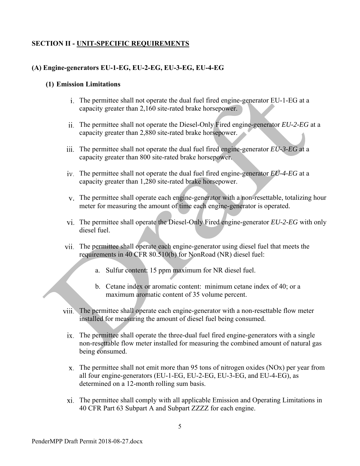# **SECTION II - UNIT-SPECIFIC REQUIREMENTS**

# **(A) Engine-generators EU-1-EG, EU-2-EG, EU-3-EG, EU-4-EG**

## **(1) Emission Limitations**

- The permittee shall not operate the dual fuel fired engine-generator EU-1-EG at a capacity greater than 2,160 site-rated brake horsepower.
- The permittee shall not operate the Diesel-Only Fired engine-generator *EU-2-EG* at a capacity greater than 2,880 site-rated brake horsepower.
- The permittee shall not operate the dual fuel fired engine-generator *EU-3-EG* at a capacity greater than 800 site-rated brake horsepower.
- The permittee shall not operate the dual fuel fired engine-generator *EU-4-EG* at a capacity greater than 1,280 site-rated brake horsepower.
- The permittee shall operate each engine-generator with a non-resettable, totalizing hour meter for measuring the amount of time each engine-generator is operated.
- The permittee shall operate the Diesel-Only Fired engine-generator *EU-2-EG* with only diesel fuel.
- The permittee shall operate each engine-generator using diesel fuel that meets the requirements in 40 CFR 80.510(b) for NonRoad (NR) diesel fuel:
	- a. Sulfur content: 15 ppm maximum for NR diesel fuel.
	- b. Cetane index or aromatic content: minimum cetane index of 40; or a maximum aromatic content of 35 volume percent.
- The permittee shall operate each engine-generator with a non-resettable flow meter installed for measuring the amount of diesel fuel being consumed.
	- ix. The permittee shall operate the three-dual fuel fired engine-generators with a single non-resettable flow meter installed for measuring the combined amount of natural gas being consumed.
	- $x$ . The permittee shall not emit more than 95 tons of nitrogen oxides (NO $x$ ) per year from all four engine-generators (EU-1-EG, EU-2-EG, EU-3-EG, and EU-4-EG), as determined on a 12-month rolling sum basis.
	- The permittee shall comply with all applicable Emission and Operating Limitations in 40 CFR Part 63 Subpart A and Subpart ZZZZ for each engine.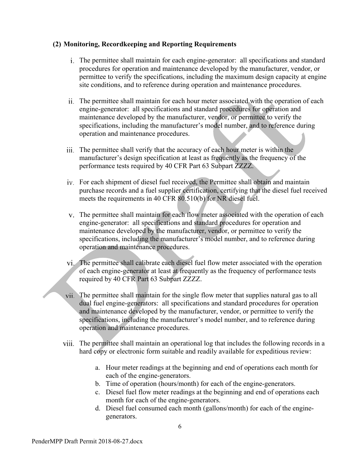#### **(2) Monitoring, Recordkeeping and Reporting Requirements**

- The permittee shall maintain for each engine-generator: all specifications and standard procedures for operation and maintenance developed by the manufacturer, vendor, or permittee to verify the specifications, including the maximum design capacity at engine site conditions, and to reference during operation and maintenance procedures.
- The permittee shall maintain for each hour meter associated with the operation of each engine-generator: all specifications and standard procedures for operation and maintenance developed by the manufacturer, vendor, or permittee to verify the specifications, including the manufacturer's model number, and to reference during operation and maintenance procedures.
- The permittee shall verify that the accuracy of each hour meter is within the manufacturer's design specification at least as frequently as the frequency of the performance tests required by 40 CFR Part 63 Subpart ZZZZ.
- For each shipment of diesel fuel received, the Permittee shall obtain and maintain purchase records and a fuel supplier certification, certifying that the diesel fuel received meets the requirements in 40 CFR 80.510(b) for NR diesel fuel.
- The permittee shall maintain for each flow meter associated with the operation of each engine-generator: all specifications and standard procedures for operation and maintenance developed by the manufacturer, vendor, or permittee to verify the specifications, including the manufacturer's model number, and to reference during operation and maintenance procedures.
- The permittee shall calibrate each diesel fuel flow meter associated with the operation of each engine-generator at least at frequently as the frequency of performance tests required by 40 CFR Part 63 Subpart ZZZZ.
- The permittee shall maintain for the single flow meter that supplies natural gas to all dual fuel engine-generators: all specifications and standard procedures for operation and maintenance developed by the manufacturer, vendor, or permittee to verify the specifications, including the manufacturer's model number, and to reference during operation and maintenance procedures.
- The permittee shall maintain an operational log that includes the following records in a hard copy or electronic form suitable and readily available for expeditious review:
	- a. Hour meter readings at the beginning and end of operations each month for each of the engine-generators.
	- b. Time of operation (hours/month) for each of the engine-generators.
	- c. Diesel fuel flow meter readings at the beginning and end of operations each month for each of the engine-generators.
	- d. Diesel fuel consumed each month (gallons/month) for each of the enginegenerators.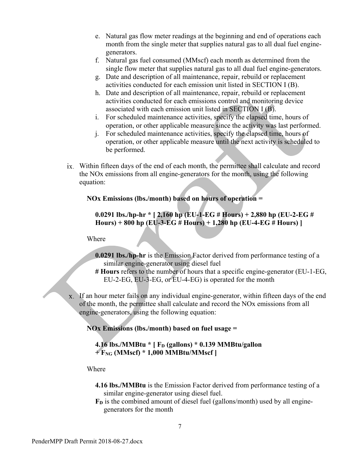- e. Natural gas flow meter readings at the beginning and end of operations each month from the single meter that supplies natural gas to all dual fuel enginegenerators.
- f. Natural gas fuel consumed (MMscf) each month as determined from the single flow meter that supplies natural gas to all dual fuel engine-generators.
- g. Date and description of all maintenance, repair, rebuild or replacement activities conducted for each emission unit listed in SECTION I (B).
- h. Date and description of all maintenance, repair, rebuild or replacement activities conducted for each emissions control and monitoring device associated with each emission unit listed in SECTION I (B).
- i. For scheduled maintenance activities, specify the elapsed time, hours of operation, or other applicable measure since the activity was last performed.
- j. For scheduled maintenance activities, specify the elapsed time, hours of operation, or other applicable measure until the next activity is scheduled to be performed.
- Within fifteen days of the end of each month, the permittee shall calculate and record the NOx emissions from all engine-generators for the month, using the following equation:

#### **NOx Emissions (lbs./month) based on hours of operation =**

## **0.0291 lbs./hp‐hr \* [ 2,160 hp (EU‐1‐EG # Hours) + 2,880 hp (EU‐2‐EG # Hours) + 800 hp (EU‐3‐EG # Hours) + 1,280 hp (EU‐4‐EG # Hours) ]**

#### Where

- **0.0291 lbs./hp‐hr** is the Emission Factor derived from performance testing of a similar engine-generator using diesel fuel
- **# Hours** refers to the number of hours that a specific engine-generator (EU‐1‐EG, EU-2-EG, EU-3-EG, or EU‐4‐EG) is operated for the month
- If an hour meter fails on any individual engine-generator, within fifteen days of the end of the month, the permittee shall calculate and record the NOx emissions from all engine-generators, using the following equation:

#### **NOx Emissions (lbs./month) based on fuel usage =**

#### **4.16 lbs./MMBtu \* [ F<sub>D</sub> (gallons) \* 0.139 MMBtu/gallon + FNG (MMscf) \* 1,000 MMBtu/MMscf ]**

Where

- **4.16 lbs./MMBtu** is the Emission Factor derived from performance testing of a similar engine-generator using diesel fuel.
- **FD** is the combined amount of diesel fuel (gallons/month) used by all enginegenerators for the month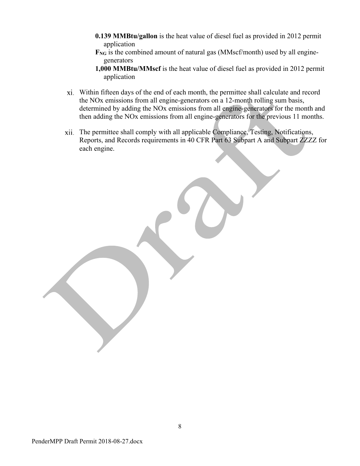- **0.139 MMBtu/gallon** is the heat value of diesel fuel as provided in 2012 permit application
- **FNG** is the combined amount of natural gas (MMscf/month) used by all enginegenerators
- **1,000 MMBtu/MMscf** is the heat value of diesel fuel as provided in 2012 permit application
- Within fifteen days of the end of each month, the permittee shall calculate and record the NOx emissions from all engine-generators on a 12-month rolling sum basis, determined by adding the NOx emissions from all engine-generators for the month and then adding the NOx emissions from all engine-generators for the previous 11 months.
- The permittee shall comply with all applicable Compliance, Testing, Notifications, Reports, and Records requirements in 40 CFR Part 63 Subpart A and Subpart ZZZZ for each engine.

PenderMPP Draft Permit 2018-08-27.docx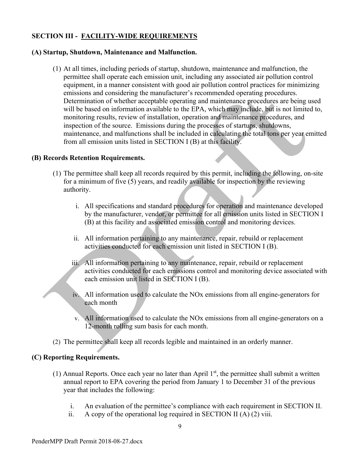# **SECTION III - FACILITY-WIDE REQUIREMENTS**

#### **(A) Startup, Shutdown, Maintenance and Malfunction.**

(1) At all times, including periods of startup, shutdown, maintenance and malfunction, the permittee shall operate each emission unit, including any associated air pollution control equipment, in a manner consistent with good air pollution control practices for minimizing emissions and considering the manufacturer's recommended operating procedures. Determination of whether acceptable operating and maintenance procedures are being used will be based on information available to the EPA, which may include, but is not limited to, monitoring results, review of installation, operation and maintenance procedures, and inspection of the source. Emissions during the processes of startups, shutdowns, maintenance, and malfunctions shall be included in calculating the total tons per year emitted from all emission units listed in SECTION I (B) at this facility.

#### **(B) Records Retention Requirements.**

- (1) The permittee shall keep all records required by this permit, including the following, on-site for a minimum of five (5) years, and readily available for inspection by the reviewing authority.
	- i. All specifications and standard procedures for operation and maintenance developed by the manufacturer, vendor, or permittee for all emission units listed in SECTION I (B) at this facility and associated emission control and monitoring devices.
	- ii. All information pertaining to any maintenance, repair, rebuild or replacement activities conducted for each emission unit listed in SECTION I (B).
	- iii. All information pertaining to any maintenance, repair, rebuild or replacement activities conducted for each emissions control and monitoring device associated with each emission unit listed in SECTION I (B).
	- iv. All information used to calculate the NOx emissions from all engine-generators for each month
	- v. All information used to calculate the NOx emissions from all engine-generators on a 12-month rolling sum basis for each month.
- (2) The permittee shall keep all records legible and maintained in an orderly manner.

## **(C) Reporting Requirements.**

- (1) Annual Reports. Once each year no later than April  $1<sup>st</sup>$ , the permittee shall submit a written annual report to EPA covering the period from January 1 to December 31 of the previous year that includes the following:
	- i. An evaluation of the permittee's compliance with each requirement in SECTION II.
	- ii. A copy of the operational log required in SECTION II  $(A)$   $(2)$  viii.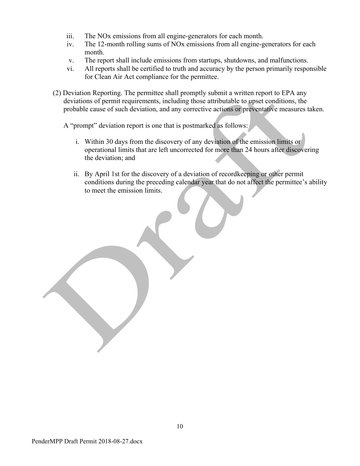- iii. The NOx emissions from all engine-generators for each month.
- iv. The 12-month rolling sums of NOx emissions from all engine-generators for each month.
- v. The report shall include emissions from startups, shutdowns, and malfunctions.
- vi. All reports shall be certified to truth and accuracy by the person primarily responsible for Clean Air Act compliance for the permittee.
- (2) Deviation Reporting. The permittee shall promptly submit a written report to EPA any deviations of permit requirements, including those attributable to upset conditions, the probable cause of such deviation, and any corrective actions or preventative measures taken.

A "prompt" deviation report is one that is postmarked as follows:

- i. Within 30 days from the discovery of any deviation of the emission limits or operational limits that are left uncorrected for more than 24 hours after discovering the deviation; and
- ii. By April 1st for the discovery of a deviation of recordkeeping or other permit conditions during the preceding calendar year that do not affect the permittee's ability to meet the emission limits.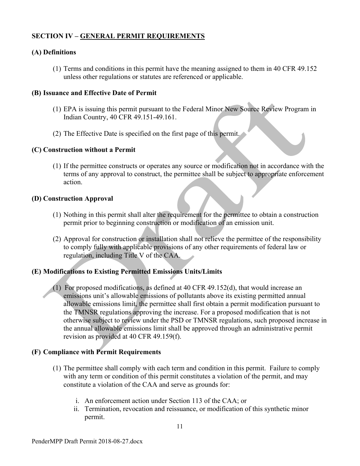# **SECTION IV – GENERAL PERMIT REQUIREMENTS**

## **(A) Definitions**

(1) Terms and conditions in this permit have the meaning assigned to them in 40 CFR 49.152 unless other regulations or statutes are referenced or applicable.

#### **(B) Issuance and Effective Date of Permit**

- (1) EPA is issuing this permit pursuant to the Federal Minor New Source Review Program in Indian Country, 40 CFR 49.151-49.161.
- (2) The Effective Date is specified on the first page of this permit.

#### **(C) Construction without a Permit**

(1) If the permittee constructs or operates any source or modification not in accordance with the terms of any approval to construct, the permittee shall be subject to appropriate enforcement action.

#### **(D) Construction Approval**

- (1) Nothing in this permit shall alter the requirement for the permittee to obtain a construction permit prior to beginning construction or modification of an emission unit.
- (2) Approval for construction or installation shall not relieve the permittee of the responsibility to comply fully with applicable provisions of any other requirements of federal law or regulation, including Title V of the CAA.

## **(E) Modifications to Existing Permitted Emissions Units/Limits**

(1) For proposed modifications, as defined at 40 CFR 49.152(d), that would increase an emissions unit's allowable emissions of pollutants above its existing permitted annual allowable emissions limit, the permittee shall first obtain a permit modification pursuant to the TMNSR regulations approving the increase. For a proposed modification that is not otherwise subject to review under the PSD or TMNSR regulations, such proposed increase in the annual allowable emissions limit shall be approved through an administrative permit revision as provided at 40 CFR 49.159(f).

## **(F) Compliance with Permit Requirements**

- (1) The permittee shall comply with each term and condition in this permit. Failure to comply with any term or condition of this permit constitutes a violation of the permit, and may constitute a violation of the CAA and serve as grounds for:
	- i. An enforcement action under Section 113 of the CAA; or
	- ii. Termination, revocation and reissuance, or modification of this synthetic minor permit.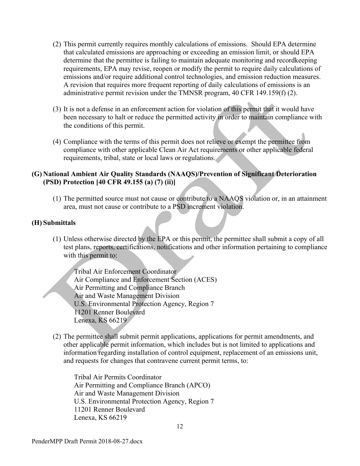- (2) This permit currently requires monthly calculations of emissions. Should EPA determine that calculated emissions are approaching or exceeding an emission limit, or should EPA determine that the permittee is failing to maintain adequate monitoring and recordkeeping requirements, EPA may revise, reopen or modify the permit to require daily calculations of emissions and/or require additional control technologies, and emission reduction measures. A revision that requires more frequent reporting of daily calculations of emissions is an administrative permit revision under the TMNSR program, 40 CFR 149.159(f) (2).
- (3) It is not a defense in an enforcement action for violation of this permit that it would have been necessary to halt or reduce the permitted activity in order to maintain compliance with the conditions of this permit.
- (4) Compliance with the terms of this permit does not relieve or exempt the permittee from compliance with other applicable Clean Air Act requirements or other applicable federal requirements, tribal, state or local laws or regulations.

#### **(G) National Ambient Air Quality Standards (NAAQS)/Prevention of Significant Deterioration (PSD) Protection [40 CFR 49.155 (a) (7) (ii)]**

(1) The permitted source must not cause or contribute to a NAAQS violation or, in an attainment area, must not cause or contribute to a PSD increment violation.

#### **(H) Submittals**

(1) Unless otherwise directed by the EPA or this permit, the permittee shall submit a copy of all test plans, reports, certifications, notifications and other information pertaining to compliance with this permit to:

Tribal Air Enforcement Coordinator Air Compliance and Enforcement Section (ACES) Air Permitting and Compliance Branch Air and Waste Management Division U.S. Environmental Protection Agency, Region 7 11201 Renner Boulevard Lenexa, KS 66219

(2) The permittee shall submit permit applications, applications for permit amendments, and other applicable permit information, which includes but is not limited to applications and information regarding installation of control equipment, replacement of an emissions unit, and requests for changes that contravene current permit terms, to:

Tribal Air Permits Coordinator Air Permitting and Compliance Branch (APCO) Air and Waste Management Division U.S. Environmental Protection Agency, Region 7 11201 Renner Boulevard Lenexa, KS 66219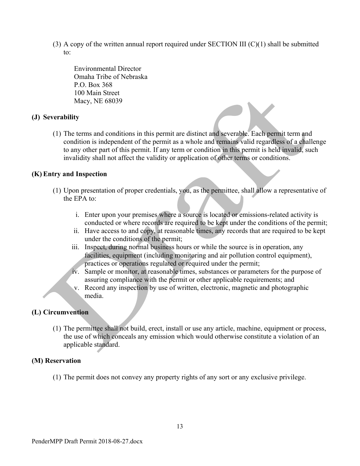(3) A copy of the written annual report required under SECTION III  $(C)(1)$  shall be submitted to:

Environmental Director Omaha Tribe of Nebraska P.O. Box 368 100 Main Street Macy, NE 68039

#### **(J) Severability**

(1) The terms and conditions in this permit are distinct and severable. Each permit term and condition is independent of the permit as a whole and remains valid regardless of a challenge to any other part of this permit. If any term or condition in this permit is held invalid, such invalidity shall not affect the validity or application of other terms or conditions.

#### **(K) Entry and Inspection**

- (1) Upon presentation of proper credentials, you, as the permittee, shall allow a representative of the EPA to:
	- i. Enter upon your premises where a source is located or emissions-related activity is conducted or where records are required to be kept under the conditions of the permit;
	- ii. Have access to and copy, at reasonable times, any records that are required to be kept under the conditions of the permit;
	- iii. Inspect, during normal business hours or while the source is in operation, any facilities, equipment (including monitoring and air pollution control equipment), practices or operations regulated or required under the permit;
	- iv. Sample or monitor, at reasonable times, substances or parameters for the purpose of assuring compliance with the permit or other applicable requirements; and
	- v. Record any inspection by use of written, electronic, magnetic and photographic media.

#### **(L) Circumvention**

(1) The permittee shall not build, erect, install or use any article, machine, equipment or process, the use of which conceals any emission which would otherwise constitute a violation of an applicable standard.

#### **(M) Reservation**

(1) The permit does not convey any property rights of any sort or any exclusive privilege.